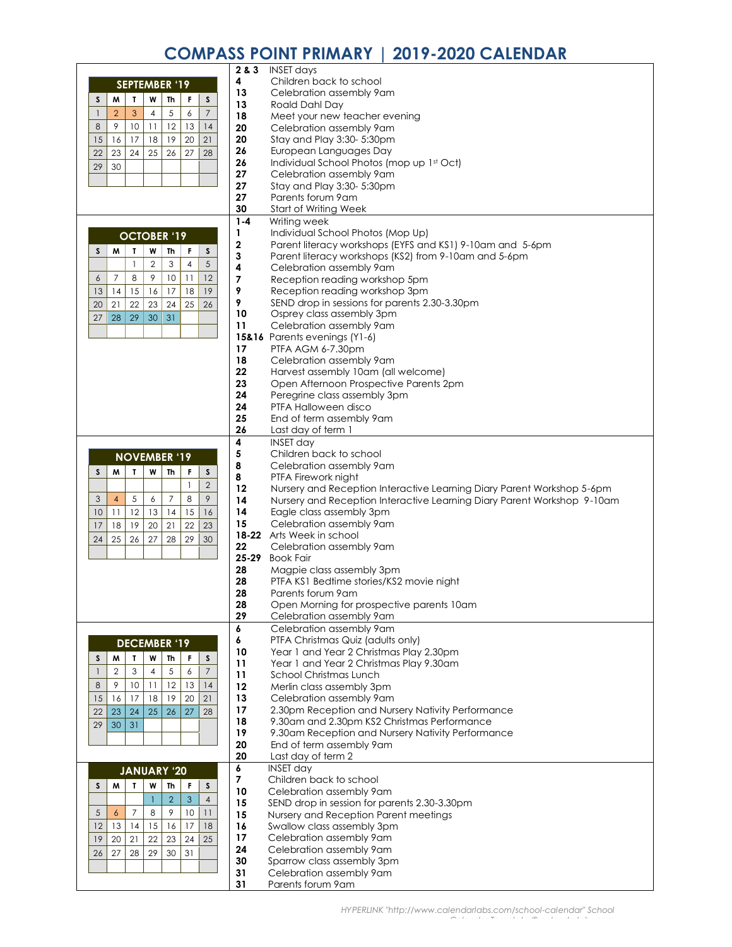## **COMPASS POINT PRIMARY | 2019-2020 CALENDAR**

|                                                                        | 2 & 3     | <b>INSET days</b>                                                       |
|------------------------------------------------------------------------|-----------|-------------------------------------------------------------------------|
|                                                                        | 4         | Children back to school                                                 |
| <b>SEPTEMBER '19</b>                                                   | 13        | Celebration assembly 9am                                                |
| $\boldsymbol{\mathsf{S}}$<br>M<br>$\mathbf{I}$<br>W<br>F<br>S<br>Th    | 13        | Roald Dahl Day                                                          |
| $\boldsymbol{7}$<br>3<br>5<br>6<br>$\overline{2}$<br>4<br>$\mathbf{1}$ | 18        | Meet your new teacher evening                                           |
| 8<br>9<br>10<br>12<br>14<br>11<br>13                                   | 20        | Celebration assembly 9am                                                |
| 20<br>16<br>17<br>18<br>21<br>15<br>19                                 | 20        | Stay and Play 3:30- 5:30pm                                              |
|                                                                        |           |                                                                         |
| 23<br>24<br>25<br>28<br>22<br>26<br>27                                 | 26        | European Languages Day                                                  |
| 30<br>29                                                               | 26        | Individual School Photos (mop up 1st Oct)                               |
|                                                                        | 27        | Celebration assembly 9am                                                |
|                                                                        | 27        | Stay and Play 3:30- 5:30pm                                              |
|                                                                        | 27        | Parents forum 9am                                                       |
|                                                                        | 30        | <b>Start of Writing Week</b>                                            |
|                                                                        | $1 - 4$   | Writing week                                                            |
| <b>OCTOBER '19</b>                                                     | 1         | Individual School Photos (Mop Up)                                       |
|                                                                        | 2         | Parent literacy workshops (EYFS and KS1) 9-10am and 5-6pm               |
| S<br>M<br>Т<br>W<br>Th<br>F<br>S                                       | 3         | Parent literacy workshops (KS2) from 9-10am and 5-6pm                   |
| 5<br>$\mathbf 2$<br>$\overline{1}$<br>3<br>$\overline{4}$              | 4         | Celebration assembly 9am                                                |
| 9<br>12<br>$\overline{7}$<br>8<br>10<br>$\overline{11}$<br>6           | 7         | Reception reading workshop 5pm                                          |
| 19<br>13<br>14<br>15<br>16<br>17<br>18                                 | 9         | Reception reading workshop 3pm                                          |
| 22<br>23<br>25<br>26<br>20<br>21<br>24                                 | 9         | SEND drop in sessions for parents 2.30-3.30pm                           |
|                                                                        | 10        | Osprey class assembly 3pm                                               |
| 27<br>28<br>29<br>30<br>31                                             | 11        | Celebration assembly 9am                                                |
|                                                                        |           | 15&16 Parents evenings (Y1-6)                                           |
|                                                                        | 17        | PTFA AGM 6-7.30pm                                                       |
|                                                                        | 18        | Celebration assembly 9 am                                               |
|                                                                        | 22        |                                                                         |
|                                                                        |           | Harvest assembly 10am (all welcome)                                     |
|                                                                        | 23        | Open Afternoon Prospective Parents 2pm                                  |
|                                                                        | 24        | Peregrine class assembly 3pm                                            |
|                                                                        | 24        | PTFA Halloween disco                                                    |
|                                                                        | 25        | End of term assembly 9 am                                               |
|                                                                        | 26        | Last day of term 1                                                      |
|                                                                        | 4         | <b>INSET day</b>                                                        |
| <b>NOVEMBER '19</b>                                                    | 5         | Children back to school                                                 |
| $\mathbf T$<br>W<br>$\boldsymbol{\mathsf{S}}$<br>M<br>Th<br>F<br>S     | 8         | Celebration assembly 9am                                                |
|                                                                        | 8         | PTFA Firework night                                                     |
| $\overline{2}$<br>1                                                    | 12        | Nursery and Reception Interactive Learning Diary Parent Workshop 5-6pm  |
| 9<br>$\overline{7}$<br>8<br>3<br>$\overline{4}$<br>5<br>6              | 14        | Nursery and Reception Interactive Learning Diary Parent Workshop 9-10am |
| 12<br>15<br>13<br>16<br>10<br>11<br>14                                 | 14        | Eagle class assembly 3pm                                                |
| 18<br>19<br>20<br>21<br>22<br>23<br>17                                 | 15        | Celebration assembly 9am                                                |
| 25<br>26<br>27<br>29<br>24<br>28<br>30                                 |           | 18-22 Arts Week in school                                               |
|                                                                        | 22        | Celebration assembly 9 am                                               |
|                                                                        | $25 - 29$ | <b>Book Fair</b>                                                        |
|                                                                        | 28        | Magpie class assembly 3pm                                               |
|                                                                        | 28        | PTFA KS1 Bedtime stories/KS2 movie night                                |
|                                                                        | 28        | Parents forum 9am                                                       |
|                                                                        | 28        | Open Morning for prospective parents 10am                               |
|                                                                        | 29        | Celebration assembly 9am                                                |
|                                                                        | 6         | Celebration assembly 9am                                                |
| <b>DECEMBER '19</b>                                                    | 6         | PTFA Christmas Quiz (adults only)                                       |
|                                                                        | 10        | Year 1 and Year 2 Christmas Play 2.30pm                                 |
| W<br>S<br>M<br>T.<br>Th<br>F<br>$\boldsymbol{\mathsf{S}}$              | 11        | Year 1 and Year 2 Christmas Play 9.30am                                 |
| $\overline{7}$<br>3<br>5<br>$\overline{2}$<br>$\mathbf{1}$<br>4<br>6   | 11        | School Christmas Lunch                                                  |
| 9<br>12<br>8<br>10<br>13<br>14<br>$\overline{11}$                      | 12        | Merlin class assembly 3pm                                               |
| 17<br>18<br>20<br>15<br>16<br>19<br>21                                 | 13        | Celebration assembly 9 am                                               |
| 23<br>24<br>25<br>26<br>28<br>22<br>27                                 | 17        | 2.30pm Reception and Nursery Nativity Performance                       |
|                                                                        | 18        | 9.30am and 2.30pm KS2 Christmas Performance                             |
| 30<br>31<br>29                                                         | 19        | 9.30am Reception and Nursery Nativity Performance                       |
|                                                                        | 20        | End of term assembly 9am                                                |
|                                                                        | 20        | Last day of term 2                                                      |
|                                                                        | 6         | <b>INSET day</b>                                                        |
| <b>JANUARY '20</b>                                                     | 7         | Children back to school                                                 |
| W<br>Th<br>S<br>M<br>T.<br>F<br>$\boldsymbol{\mathsf{S}}$              | 10        | Celebration assembly 9 am                                               |
| $\overline{2}$<br>$\mathbf{3}$<br>$\sqrt{4}$<br>1                      | 15        | SEND drop in session for parents 2.30-3.30pm                            |
| $\overline{7}$<br>8<br>9<br>10<br>5<br>$\boldsymbol{6}$<br>11          | 15        | Nursery and Reception Parent meetings                                   |
| 12<br>13<br>14<br>15<br>17<br>18<br>16                                 | 16        | Swallow class assembly 3pm                                              |
| 19<br>20<br>21<br>22<br>24<br>25                                       | 17        | Celebration assembly 9am                                                |
| 23                                                                     | 24        | Celebration assembly 9am                                                |
| 27<br>28<br>29<br>31<br>26<br>30                                       | 30        |                                                                         |
|                                                                        | 31        | Sparrow class assembly 3pm                                              |
|                                                                        | 31        | Celebration assembly 9 am<br>Parents forum 9am                          |
|                                                                        |           |                                                                         |

*Calendar Template © calendarlabs.com*